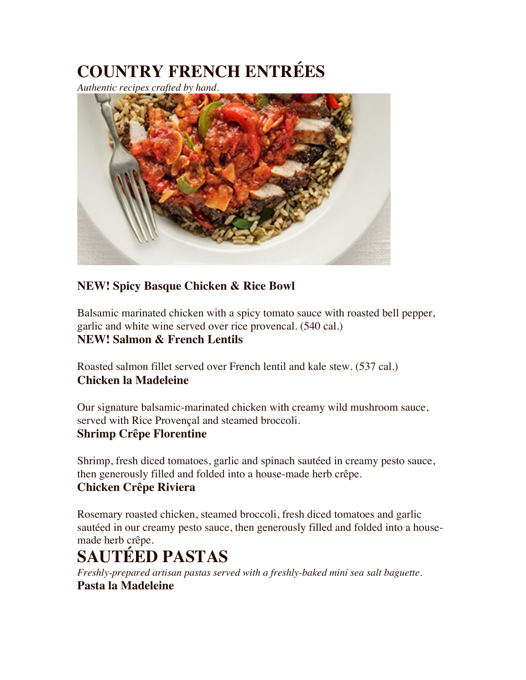# **COUNTRY FRENCH ENTRÉES**

*Authentic recipes crafted by hand.*



## **NEW! Spicy Basque Chicken & Rice Bowl**

Balsamic marinated chicken with a spicy tomato sauce with roasted bell pepper, garlic and white wine served over rice provencal. (540 cal.) **NEW! Salmon & French Lentils**

Roasted salmon fillet served over French lentil and kale stew. (537 cal.) **Chicken la Madeleine**

Our signature balsamic-marinated chicken with creamy wild mushroom sauce, served with Rice Provençal and steamed broccoli.

#### **Shrimp Crêpe Florentine**

Shrimp, fresh diced tomatoes, garlic and spinach sautéed in creamy pesto sauce, then generously filled and folded into a house-made herb crêpe.

## **Chicken Crêpe Riviera**

Rosemary roasted chicken, steamed broccoli, fresh diced tomatoes and garlic sautéed in our creamy pesto sauce, then generously filled and folded into a housemade herb crêpe.

# **SAUTÉED PASTAS**

*Freshly-prepared artisan pastas served with a freshly-baked mini sea salt baguette.* **Pasta la Madeleine**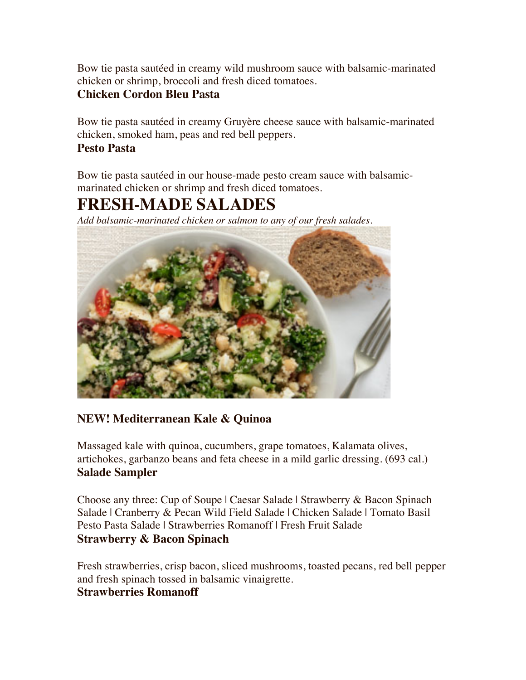Bow tie pasta sautéed in creamy wild mushroom sauce with balsamic-marinated chicken or shrimp, broccoli and fresh diced tomatoes.

#### **Chicken Cordon Bleu Pasta**

Bow tie pasta sautéed in creamy Gruyère cheese sauce with balsamic-marinated chicken, smoked ham, peas and red bell peppers.

#### **Pesto Pasta**

Bow tie pasta sautéed in our house-made pesto cream sauce with balsamicmarinated chicken or shrimp and fresh diced tomatoes.

## **FRESH-MADE SALADES**

*Add balsamic-marinated chicken or salmon to any of our fresh salades.*



#### **NEW! Mediterranean Kale & Quinoa**

Massaged kale with quinoa, cucumbers, grape tomatoes, Kalamata olives, artichokes, garbanzo beans and feta cheese in a mild garlic dressing. (693 cal.) **Salade Sampler**

Choose any three: Cup of Soupe | Caesar Salade | Strawberry & Bacon Spinach Salade | Cranberry & Pecan Wild Field Salade | Chicken Salade | Tomato Basil Pesto Pasta Salade | Strawberries Romanoff | Fresh Fruit Salade **Strawberry & Bacon Spinach**

Fresh strawberries, crisp bacon, sliced mushrooms, toasted pecans, red bell pepper and fresh spinach tossed in balsamic vinaigrette. **Strawberries Romanoff**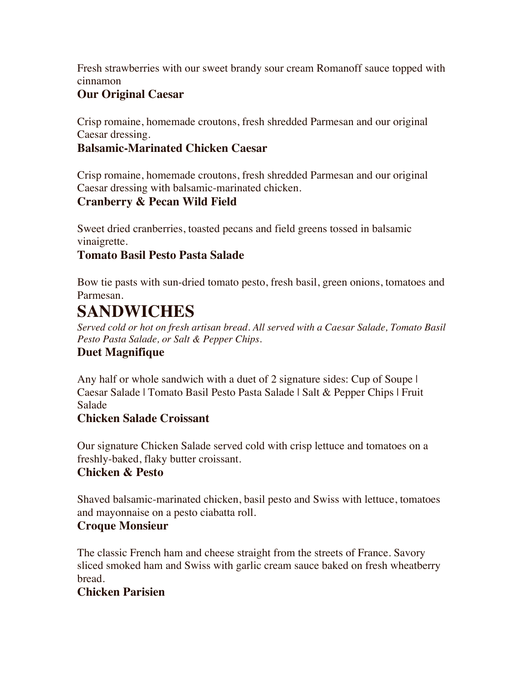Fresh strawberries with our sweet brandy sour cream Romanoff sauce topped with cinnamon

## **Our Original Caesar**

Crisp romaine, homemade croutons, fresh shredded Parmesan and our original Caesar dressing.

### **Balsamic-Marinated Chicken Caesar**

Crisp romaine, homemade croutons, fresh shredded Parmesan and our original Caesar dressing with balsamic-marinated chicken.

#### **Cranberry & Pecan Wild Field**

Sweet dried cranberries, toasted pecans and field greens tossed in balsamic vinaigrette.

#### **Tomato Basil Pesto Pasta Salade**

Bow tie pasts with sun-dried tomato pesto, fresh basil, green onions, tomatoes and Parmesan.

## **SANDWICHES**

*Served cold or hot on fresh artisan bread. All served with a Caesar Salade, Tomato Basil Pesto Pasta Salade, or Salt & Pepper Chips.*

## **Duet Magnifique**

Any half or whole sandwich with a duet of 2 signature sides: Cup of Soupe I Caesar Salade | Tomato Basil Pesto Pasta Salade | Salt & Pepper Chips | Fruit Salade

#### **Chicken Salade Croissant**

Our signature Chicken Salade served cold with crisp lettuce and tomatoes on a freshly-baked, flaky butter croissant.

#### **Chicken & Pesto**

Shaved balsamic-marinated chicken, basil pesto and Swiss with lettuce, tomatoes and mayonnaise on a pesto ciabatta roll.

#### **Croque Monsieur**

The classic French ham and cheese straight from the streets of France. Savory sliced smoked ham and Swiss with garlic cream sauce baked on fresh wheatberry bread.

#### **Chicken Parisien**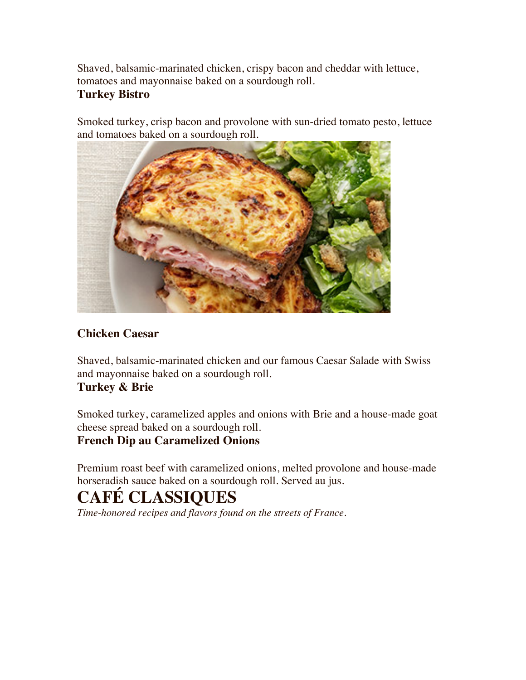Shaved, balsamic-marinated chicken, crispy bacon and cheddar with lettuce, tomatoes and mayonnaise baked on a sourdough roll. **Turkey Bistro**

Smoked turkey, crisp bacon and provolone with sun-dried tomato pesto, lettuce and tomatoes baked on a sourdough roll.



## **Chicken Caesar**

Shaved, balsamic-marinated chicken and our famous Caesar Salade with Swiss and mayonnaise baked on a sourdough roll.

#### **Turkey & Brie**

Smoked turkey, caramelized apples and onions with Brie and a house-made goat cheese spread baked on a sourdough roll.

#### **French Dip au Caramelized Onions**

Premium roast beef with caramelized onions, melted provolone and house-made horseradish sauce baked on a sourdough roll. Served au jus.

# **CAFÉ CLASSIQUES**

*Time-honored recipes and flavors found on the streets of France.*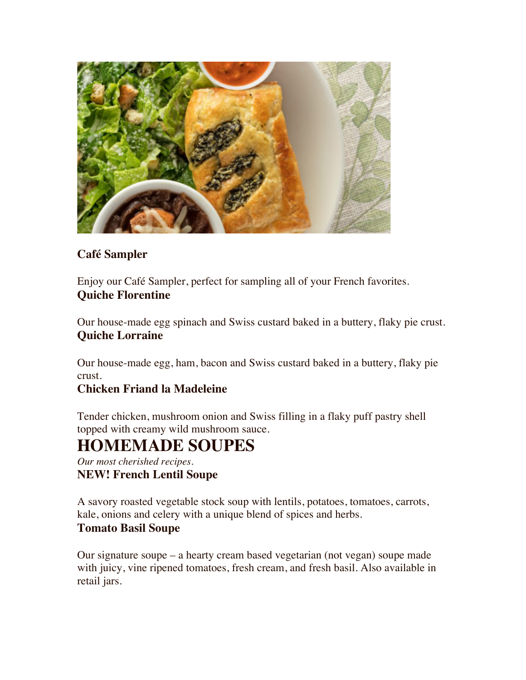

## **Café Sampler**

Enjoy our Café Sampler, perfect for sampling all of your French favorites. **Quiche Florentine**

Our house-made egg spinach and Swiss custard baked in a buttery, flaky pie crust. **Quiche Lorraine**

Our house-made egg, ham, bacon and Swiss custard baked in a buttery, flaky pie crust.

## **Chicken Friand la Madeleine**

Tender chicken, mushroom onion and Swiss filling in a flaky puff pastry shell topped with creamy wild mushroom sauce.

## **HOMEMADE SOUPES**

*Our most cherished recipes.* **NEW! French Lentil Soupe**

A savory roasted vegetable stock soup with lentils, potatoes, tomatoes, carrots, kale, onions and celery with a unique blend of spices and herbs.

#### **Tomato Basil Soupe**

Our signature soupe – a hearty cream based vegetarian (not vegan) soupe made with juicy, vine ripened tomatoes, fresh cream, and fresh basil. Also available in retail jars.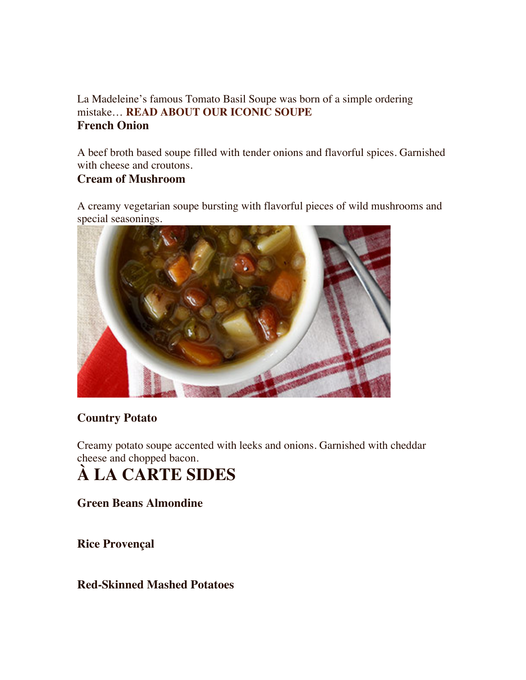### La Madeleine's famous Tomato Basil Soupe was born of a simple ordering mistake… **READ ABOUT OUR ICONIC SOUPE French Onion**

A beef broth based soupe filled with tender onions and flavorful spices. Garnished with cheese and croutons.

#### **Cream of Mushroom**

A creamy vegetarian soupe bursting with flavorful pieces of wild mushrooms and special seasonings.



## **Country Potato**

Creamy potato soupe accented with leeks and onions. Garnished with cheddar cheese and chopped bacon.

# **À LA CARTE SIDES**

**Green Beans Almondine**

**Rice Provençal**

#### **Red-Skinned Mashed Potatoes**